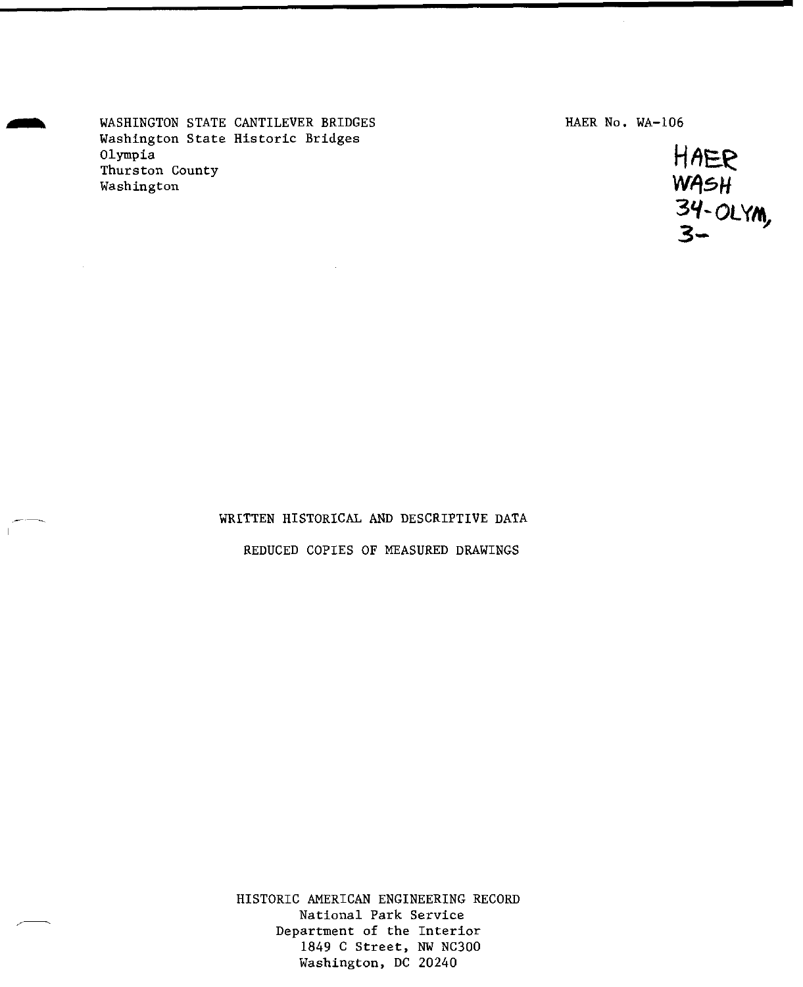WASHINGTON STATE CANTILEVER BRIDGES Washington State Historic Bridges Olympia Thurston County Washington

HAER No. WA-106



#### WRITTEN HISTORICAL AND DESCRIPTIVE DATA

# REDUCED COPIES OF MEASURED DRAWINGS

HISTORIC AMERICAN ENGINEERING RECORD National Park Service Department of the Interior 1849 C Street, NW NC300 Washington, DC 20240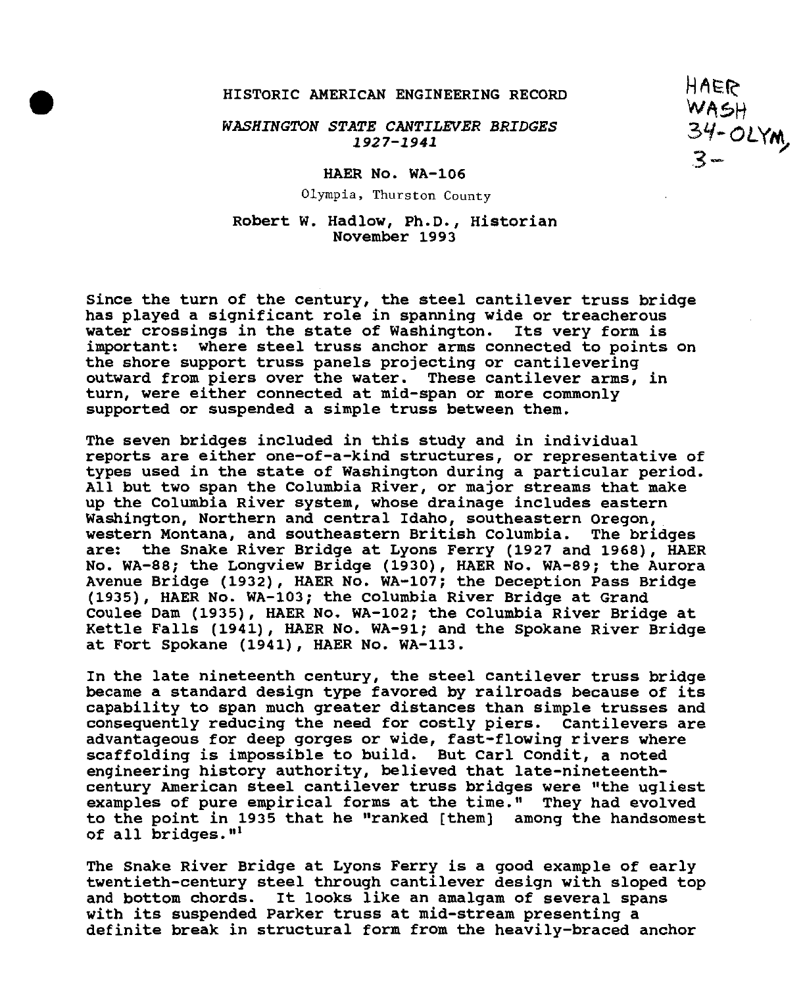### HISTORIC AMERICAN ENGINEERING RECORD

*WASHINGTON STATE CANTILEVER BRIDGES 1927-1941*

### HAER No. WA-106

Olympia, Thurston County

## Robert W. Hadlow, Ph.D., Historian November 1993

Since the turn of the century, the steel cantilever truss bridge has played a significant role in spanning wide or treacherous water crossings in the state of Washington. Its very form is important: where steel truss anchor arms connected to points on the shore support truss panels projecting or cantilevering outward from piers over the water. These cantilever arms, in turn, were either connected at mid-span or more commonly supported or suspended a simple truss between them.

The seven bridges included in this study and in individual reports are either one-of-a-kind structures, or representative of types used in the state of Washington during a particular period. All but two span the Columbia River, or major streams that make up the Columbia River system, whose drainage includes eastern Washington, Northern and central Idaho, southeastern Oregon, western Montana, and southeastern British Columbia. The bridges are: the Snake River Bridge at Lyons Ferry (1927 and 1968), HAER No. WA-88; the Longview Bridge (1930), HAER No. WA-89; the Aurora Avenue Bridge (1932), HAER No. WA-107; the Deception Pass Bridge (1935), HAER No. WA-103; the Columbia River Bridge at Grand Coulee Dam (1935), HAER No. WA-102; the Columbia River Bridge at Kettle Falls (1941), HAER No. WA-91; and the Spokane River Bridge at Fort Spokane (1941), HAER No. WA-113.

In the late nineteenth century, the steel cantilever truss bridge became a standard design type favored by railroads because of its capability to span much greater distances than simple trusses and consequently reducing the need for costly piers. Cantilevers are advantageous for deep gorges or wide, fast-flowing rivers where scaffolding is impossible to build. But Carl Condit, a noted engineering history authority, believed that late-nineteenthcentury American steel cantilever truss bridges were "the ugliest examples of pure empirical forms at the time." They had evolved to the point in 1935 that he "ranked [them] among the handsomest of all bridges."<sup>1</sup>

The Snake River Bridge at Lyons Ferry is a good example of early twentieth-century steel through cantilever design with sloped top and bottom chords. It looks like an amalgam of several spans with its suspended Parker truss at mid-stream presenting a definite break in structural form from the heavily-braced anchor

HAER<br>WASH *W-OLtm*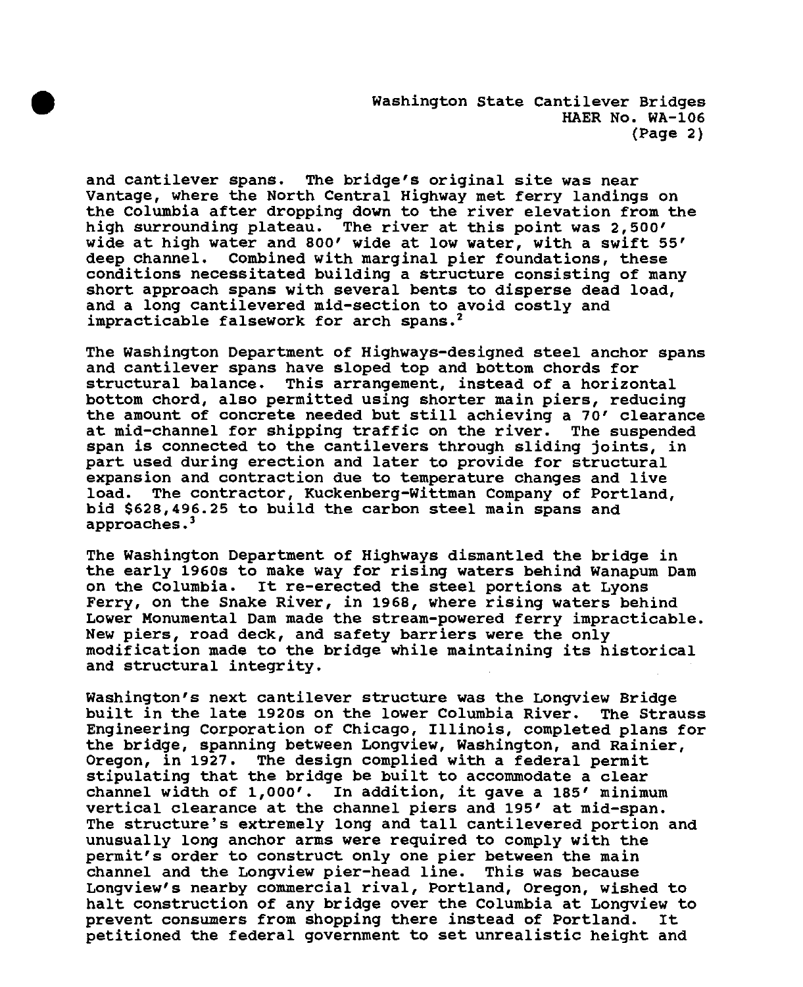and cantilever spans. The bridge's original site was near Vantage, where the North Central Highway met ferry landings on the Columbia after dropping down to the river elevation from the high surrounding plateau. The river at this point was 2,500' wide at high water and 800' wide at low water, with a swift 55' deep channel. Combined with marginal pier foundations, these conditions necessitated building a structure consisting of many short approach spans with several bents to disperse dead load. and a long cantilevered mid-section to avoid costly and impracticable falsework for arch spans.<sup>2</sup>

The Washington Department of Highways-designed steel anchor spans and cantilever spans have sloped top and bottom chords for structural balance. This arrangement, instead of a horizontal bottom chord, also permitted using shorter main piers, reducing the amount of concrete needed but still achieving a 70' clearance at mid-channel for shipping traffic on the river. The suspended span is connected to the cantilevers through sliding joints, in part used during erection and later to provide for structural expansion and contraction due to temperature changes and live<br>load. The contractor, Kuckenberg-Wittman Company of Portland. The contractor, Kuckenberg-Wittman Company of Portland, bid \$628,496.25 to build the carbon steel main spans and approaches.<sup>3</sup>

The Washington Department of Highways dismantled the bridge in the early 1960s to make way for rising waters behind Wanapum Dam on the Columbia. It re-erected the steel portions at Lyons Ferry, on the Snake River, in 1968, where rising waters behind Lower Monumental Dam made the stream-powered ferry impracticable. New piers, road deck, and safety barriers were the only modification made to the bridge while maintaining its historical and structural integrity.

Washington's next cantilever structure was the Longview Bridge<br>built in the late 1920s on the lower Columbia River. The Strauss built in the late 1920s on the lower Columbia River. Engineering Corporation of Chicago, Illinois, completed plans for the bridge, spanning between Longview, Washington, and Rainier, Oregon, in 1927. The design complied with a federal permit stipulating that the bridge be built to accommodate a clear channel width of 1,000'. In addition, it gave a 185' minimum vertical clearance at the channel piers and 195' at mid-span. The structure's extremely long and tall cantilevered portion and unusually long anchor arms were required to comply with the permit's order to construct only one pier between the main channel and the Longview pier-head line. This was because Longview's nearby commercial rival, Portland, Oregon, wished to halt construction of any bridge over the Columbia at Longview to prevent consumers from shopping there instead of Portland. It petitioned the federal government to set unrealistic height and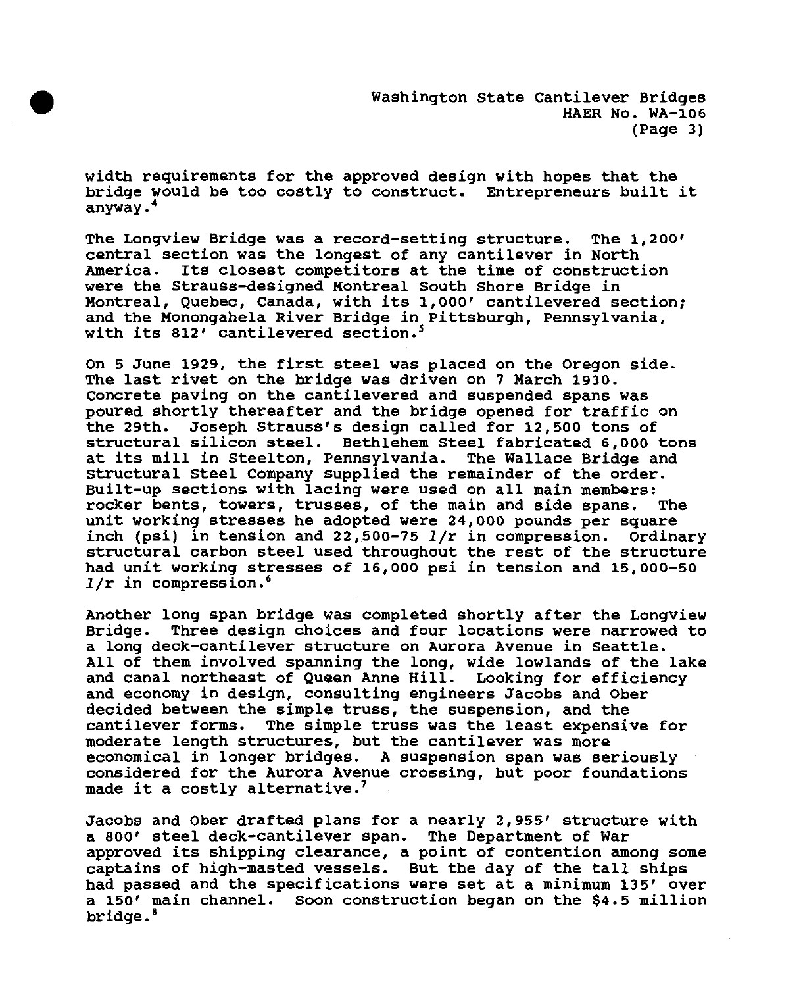width requirements for the approved design with hopes that the bridge would be too costly to construct. Entrepreneurs built it anyway. 4

The Longview Bridge was a record-setting structure. The 1,200' central section was the longest of any cantilever in North America. Its closest competitors at the time of construction were the Strauss-designed Montreal South Shore Bridge in Montreal, Quebec, Canada, with its 1,000' cantilevered section; and the Monongahela River Bridge in Pittsburgh, Pennsylvania, with its 812' cantilevered section.<sup>5</sup>

On 5 June 1929, the first steel was placed on the Oregon side. The last rivet on the bridge was driven on <sup>7</sup> March 1930. Concrete paving on the cantilevered and suspended spans was poured shortly thereafter and the bridge opened for traffic on the 29th. Joseph Strauss's design called for 12,500 tons of structural silicon steel. Bethlehem Steel fabricated 6,000 tons at its mill in Steelton, Pennsylvania. The Wallace Bridge and Structural Steel Company supplied the remainder of the order. Built-up sections with lacing were used on all main members: rocker bents, towers, trusses, of the main and side spans. The unit working stresses he adopted were 24,000 pounds per square inch (psi) in tension and 22,500-75 *1/r* in compression. Ordinary structural carbon steel used throughout the rest of the structure had unit working stresses of 16,000 psi in tension and 15,000-50 *1/r* in compression.<sup>6</sup>

Another long span bridge was completed shortly after the Longview Bridge. Three design choices and four locations were narrowed to a long deck-cantilever structure on Aurora Avenue in Seattle. All of them involved spanning the long, wide lowlands of the lake and canal northeast of Queen Anne Hill. Looking for efficiency and economy in design, consulting engineers Jacobs and Ober decided between the simple truss, the suspension, and the<br>cantilever forms. The simple truss was the least expensi The simple truss was the least expensive for moderate length structures, but the cantilever was more economical in longer bridges. A suspension span was seriously considered for the Aurora Avenue crossing, but poor foundations made it a costly alternative.<sup>7</sup>

Jacobs and Ober drafted plans for a nearly 2,955' structure with a 800' steel deck-cantilever span. The Department of War approved its shipping clearance, a point of contention among some captains of high-masted vessels. But the day of the tall ships had passed and the specifications were set at a minimum 135' over a 150' main channel. Soon construction began on the \$4.5 million bridge.<sup>8</sup>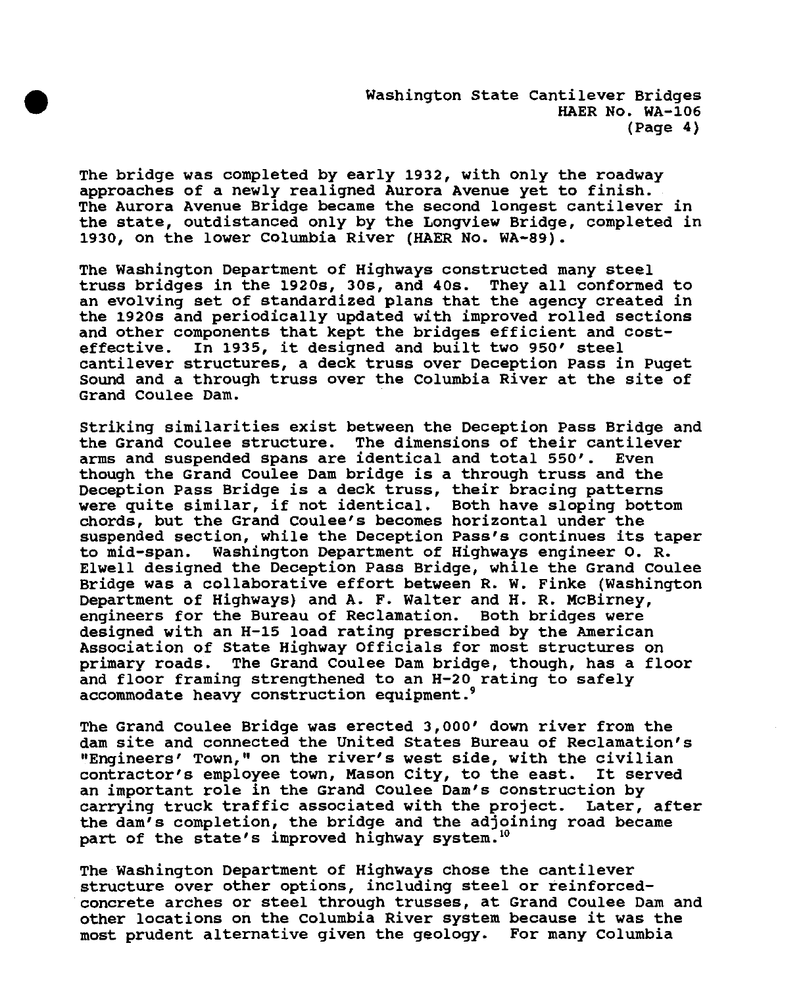The bridge was completed by early 1932, with only the roadway approaches of a newly realigned Aurora Avenue yet to finish. The Aurora Avenue Bridge became the second longest cantilever in the state, outdistanced only by the Longview Bridge, completed in 1930, on the lower Columbia River (HAER No. WA-89).

The Washington Department of Highways constructed many steel truss bridges in the 1920s, 30s, and 40s. They all conformed to an evolving set of standardized plans that the agency created in the 1920s and periodically updated with improved rolled sections and other components that kept the bridges efficient and costeffective. In 1935, it designed and built two 950' steel cantilever structures, a deck truss over Deception Pass in Puget Sound and a through truss over the Columbia River at the site of Grand Coulee Dam.

Striking similarities exist between the Deception Pass Bridge and the Grand Coulee structure. The dimensions of their cantilever arms and suspended spans are identical and total 550'. Even though the Grand Coulee Dam bridge is a through truss and the Deception Pass Bridge is a deck truss, their bracing patterns were quite similar, if not identical. Both have sloping bottom chords, but the Grand Coulee's becomes horizontal under the suspended section, while the Deception Pass's continues its taper to mid-span. Washington Department of Highways engineer O. R. Elwell designed the Deception Pass Bridge, while the Grand Coulee Bridge was a collaborative effort between R. W. Finke (Washington Department of Highways) and A. F. Walter and H. R. McBirney, engineers for the Bureau of Reclamation. Both bridges were designed with an H-15 load rating prescribed by the American Association of State Highway Officials for most structures on primary roads. The Grand Coulee Dam bridge, though, has a floor and floor framing strengthened to an H-20 rating to safely accommodate heavy construction equipment.<sup>9</sup>

The Grand Coulee Bridge was erected 3,000' down river from the dam site and connected the United States Bureau of Reclamation's "Engineers' Town," on the river's west side, with the civilian contractor's employee town, Mason City, to the east. It served an important role in the Grand Coulee Dam's construction by carrying truck traffic associated with the project. Later, after the dam's completion, the bridge and the adjoining road became part of the state's improved highway system.<sup>10</sup>

The Washington Department of Highways chose the cantilever structure over other options, including steel or reinforcedconcrete arches or steel through trusses, at Grand Coulee Dam and other locations on the Columbia River system because it was the most prudent alternative given the geology. For many Columbia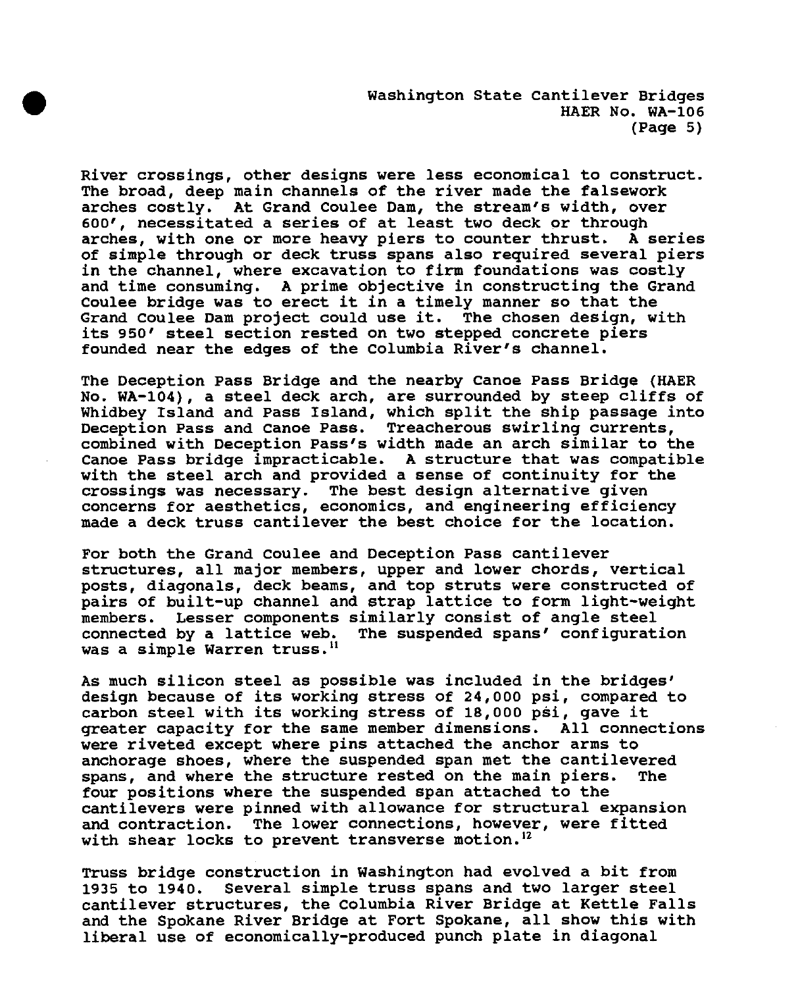River crossings, other designs were less economical to construct. The broad, deep main channels of the river made the falsework arches costly. At Grand Coulee Dam, the stream's width, over 600', necessitated a series of at least two deck or through arches, with one or more heavy piers to counter thrust. A series of simple through or deck truss spans also required several piers in the channel, where excavation to firm foundations was costly and time consuming. A prime objective in constructing the Grand Coulee bridge was to erect it in a timely manner so that the Grand Coulee Dam project could use it. The chosen design, with its 950' steel section rested on two stepped concrete piers founded near the edges of the Columbia River's channel.

The Deception Pass Bridge and the nearby Canoe Pass Bridge (HAER No. WA-104), a steel deck arch, are surrounded by steep cliffs of Whidbey Island and Pass Island, which split the ship passage into Deception Pass and Canoe Pass. Treacherous swirling currents, combined with Deception Pass's width made an arch similar to the Canoe Pass bridge impracticable. A structure that was compatible with the steel arch and provided a sense of continuity for the crossings was necessary. The best design alternative given concerns for aesthetics, economics, and engineering efficiency made a deck truss cantilever the best choice for the location.

For both the Grand Coulee and Deception Pass cantilever structures, all major members, upper and lower chords, vertical posts, diagonals, deck beams, and top struts were constructed of pairs of built-up channel and strap lattice to form light-weight members. Lesser components similarly consist of angle steel connected by a lattice web. The suspended spans' configuration was a simple Warren truss.<sup>11</sup>

As much silicon steel as possible was included in the bridges' design because of its working stress of 24,000 psi, compared to carbon steel with its working stress of 18,000 psi, gave it greater capacity for the same member dimensions. All connections were riveted except where pins attached the anchor arms to anchorage shoes, where the suspended span met the cantilevered spans, and where the structure rested on the main piers. The four positions where the suspended span attached to the cantilevers were pinned with allowance for structural expansion and contraction. The lower connections, however, were fitted with shear locks to prevent transverse motion.<sup>12</sup>

Truss bridge construction in Washington had evolved a bit from 1935 to 1940. Several simple truss spans and two larger steel cantilever structures, the Columbia River Bridge at Kettle Falls and the Spokane River Bridge at Fort Spokane, all show this with liberal use of economically-produced punch plate in diagonal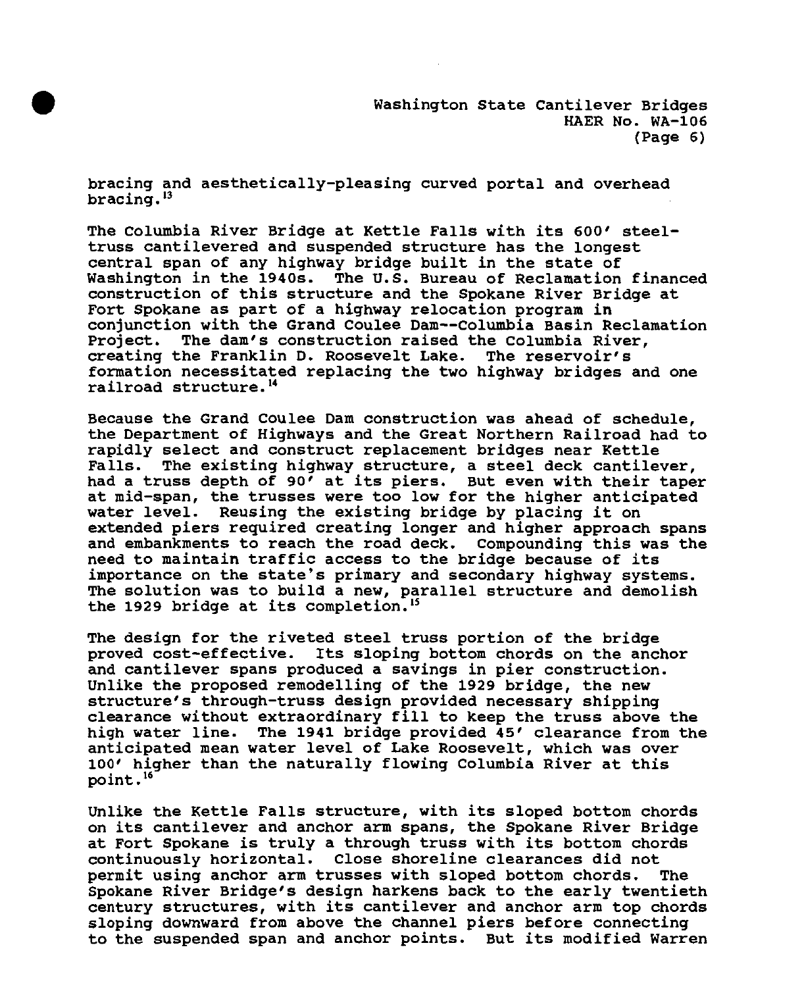bracing and aesthetically-pleasing curved portal and overhead bracing.<sup>13</sup>

The Columbia River Bridge at Kettle Falls with its 600' steeltruss cantilevered and suspended structure has the longest central span of any highway bridge built in the state of Washington in the 1940s. The U.S. Bureau of Reclamation financed construction of this structure and the Spokane River Bridge at Fort Spokane as part of a highway relocation program in conjunction with the Grand Coulee Dam--Columbia Basin Reclamation<br>Project. The dam's construction raised the Columbia River. The dam's construction raised the Columbia River, creating the Franklin D. Roosevelt Lake. The reservoir's formation necessitated replacing the two highway bridges and one railroad structure.<sup>14</sup>

Because the Grand Coulee Dam construction was ahead of schedule, the Department of Highways and the Great Northern Railroad had to rapidly select and construct replacement bridges near Kettle Falls. The existing highway structure, a steel deck cantilever, had a truss depth of 90' at its piers. But even with their taper at mid-span, the trusses were too low for the higher anticipated water level. Reusing the existing bridge by placing it on extended piers required creating longer and higher approach spans and embankments to reach the road deck. Compounding this was the need to maintain traffic access to the bridge because of its importance on the state's primary and secondary highway systems. The solution was to build a new, parallel structure and demolish the 1929 bridge at its completion.<sup>15</sup>

The design for the riveted steel truss portion of the bridge proved cost-effective. Its sloping bottom chords on the anchor and cantilever spans produced a savings in pier construction. Unlike the proposed remodelling of the 1929 bridge, the new structure's through-truss design provided necessary shipping clearance without extraordinary fill to keep the truss above the high water line. The 1941 bridge provided 45' clearance from the anticipated mean water level of Lake Roosevelt, which was over 100' higher than the naturally flowing Columbia River at this point.<sup>16</sup>

Unlike the Kettle Falls structure, with its sloped bottom chords on its cantilever and anchor arm spans, the Spokane River Bridge at Fort Spokane is truly a through truss with its bottom chords continuously horizontal. Close shoreline clearances did not permit using anchor arm trusses with sloped bottom chords. The Spokane River Bridge's design harkens back to the early twentieth century structures, with its cantilever and anchor arm top chords sloping downward from above the channel piers before connecting to the suspended span and anchor points. But its modified Warren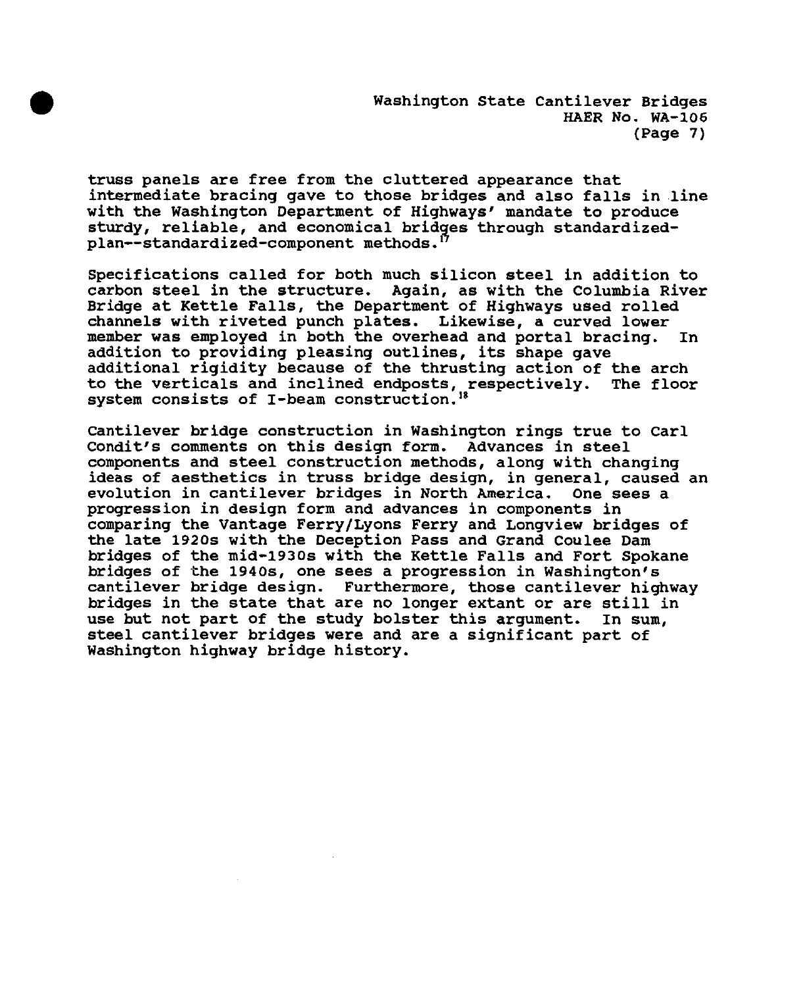truss panels are free from the cluttered appearance that intermediate bracing gave to those bridges and also falls in line with the Washington Department of Highways' mandate to produce sturdy, reliable, and economical bridges through standardizedplan--standardized-component methods.<sup>17</sup>

Specifications called for both much silicon steel in addition to carbon steel in the structure. Again, as with the Columbia River Bridge at Kettle Falls, the Department of Highways used rolled channels with riveted punch plates. Likewise, a curved lower member was employed in both the overhead and portal bracing. In addition to providing pleasing outlines, its shape gave additional rigidity because of the thrusting action of the arch to the verticals and inclined endposts, respectively. The floor system consists of I-beam construction.<sup>18</sup>

Cantilever bridge construction in Washington rings true to Carl Condit's comments on this design form. Advances in steel components and steel construction methods, along with changing ideas of aesthetics in truss bridge design, in general, caused an evolution in cantilever bridges in North America, One sees a progression in design form and advances in components in comparing the Vantage Ferry/Lyons Ferry and Longview bridges of the late 1920s with the Deception Pass and Grand Coulee Dam bridges of the mid-1930s with the Kettle Falls and Fort Spokane bridges of the 1940s, one sees a progression in Washington's cantilever bridge design. Furthermore, those cantilever highway bridges in the state that are no longer extant or are still in use but not part of the study bolster this argument. In sum, steel cantilever bridges were and are a significant part of Washington highway bridge history.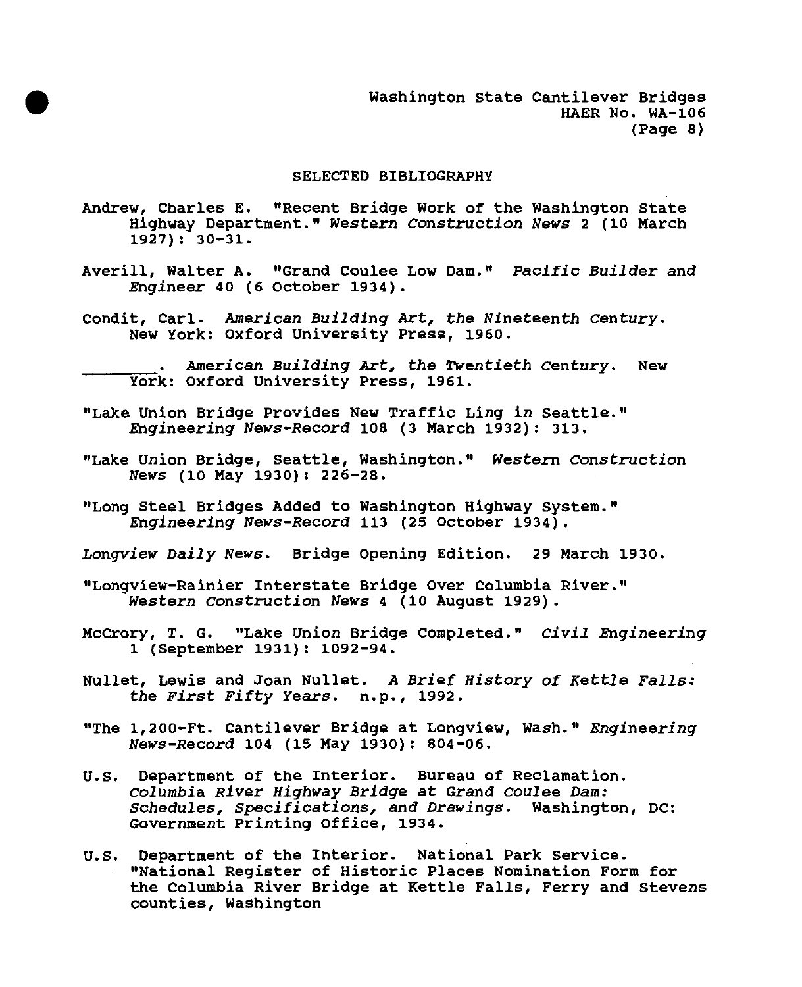## SELECTED BIBLIOGRAPHY

- Andrew, Charles E. "Recent Bridge Work of the Washington State Highway Department." *Western Construction News* <sup>2</sup> (10 March 1927): 30-31.
- Averill, Walter A. "Grand Coulee Low Dam." *Pacific Builder and Engineer* <sup>40</sup> (6 October 1934).
- Condit, Carl. *American Building Art, the Nineteenth Century.* New York: Oxford University Press, 1960.

*American Building Art, the Twentieth Century.* New York: Oxford University Press, 1961.

- "Lake Union Bridge Provides New Traffic Ling in Seattle." *Engineering News-Record* <sup>108</sup> (3 March 1932): 313.
- "Lake Union Bridge, Seattle, Washington." *Western Construction News* (10 May 1930): 226-28.
- "Long Steel Bridges Added to Washington Highway System." *Engineering News-Record* <sup>113</sup> (25 October 1934).
- *Longview Daily News.* Bridge Opening Edition. <sup>29</sup> March 1930.
- "Longview-Rainier Interstate Bridge Over Columbia River." Western *Construction News* <sup>4</sup> (10 August 1929).
- McCrory, T. G. "Lake Union Bridge Completed." *Civil Engineering* 1 (September 1931): 1092-94.
- Nullet, Lewis and Joan Nullet. *A Brief History of Kettle Falls: the First Fifty Years,* n.p., 1992.
- "The 1,200-Ft. Cantilever Bridge at Longview, Wash." *Engineering News-Record* 104 (15 May 1930): 804-06.
- U.S. Department of the Interior. Bureau of Reclamation. Columbia *River Highway Bridge at Grand Coulee Dam: Schedules, Specifications, and Drawings*. Washington, DC: Government Printing Office, 1934.
- U.S. Department of the Interior. National Park Service. "National Register of Historic Places Nomination Form for the Columbia River Bridge at Kettle Falls, Ferry and Stevens counties, Washington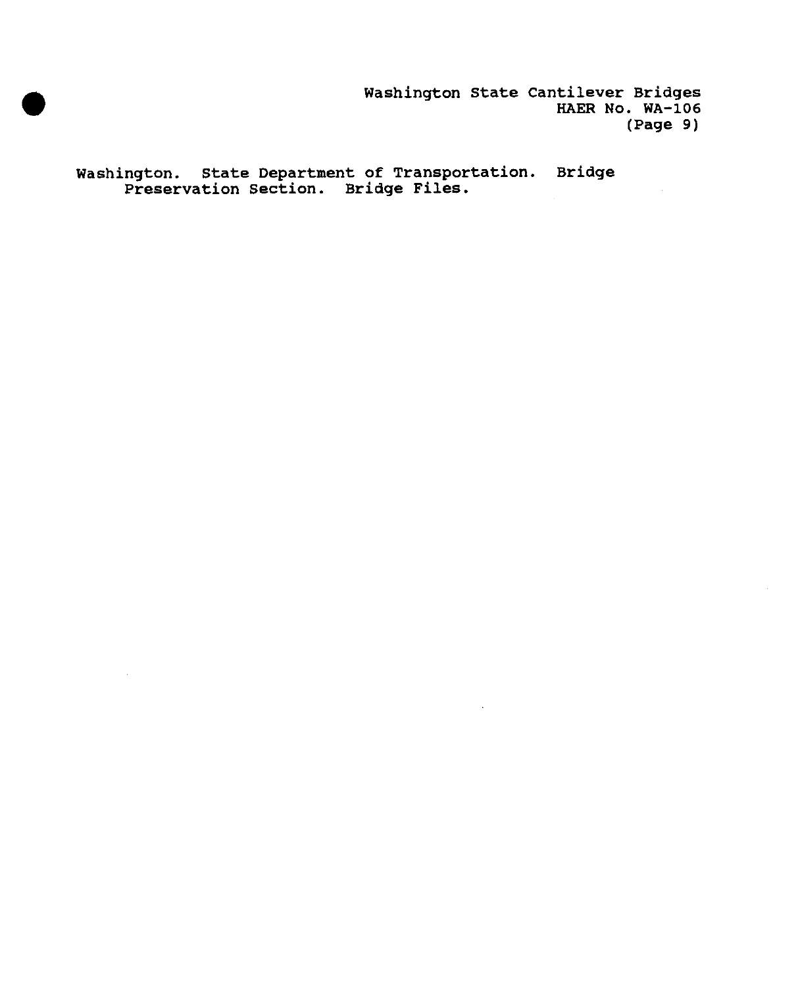Washington State Cantilever Bridges HAER No. WA-106 (Page 9)

Washington. State Department of Transportation. Bridge Preservation Section. Bridge Files.

 $\sim$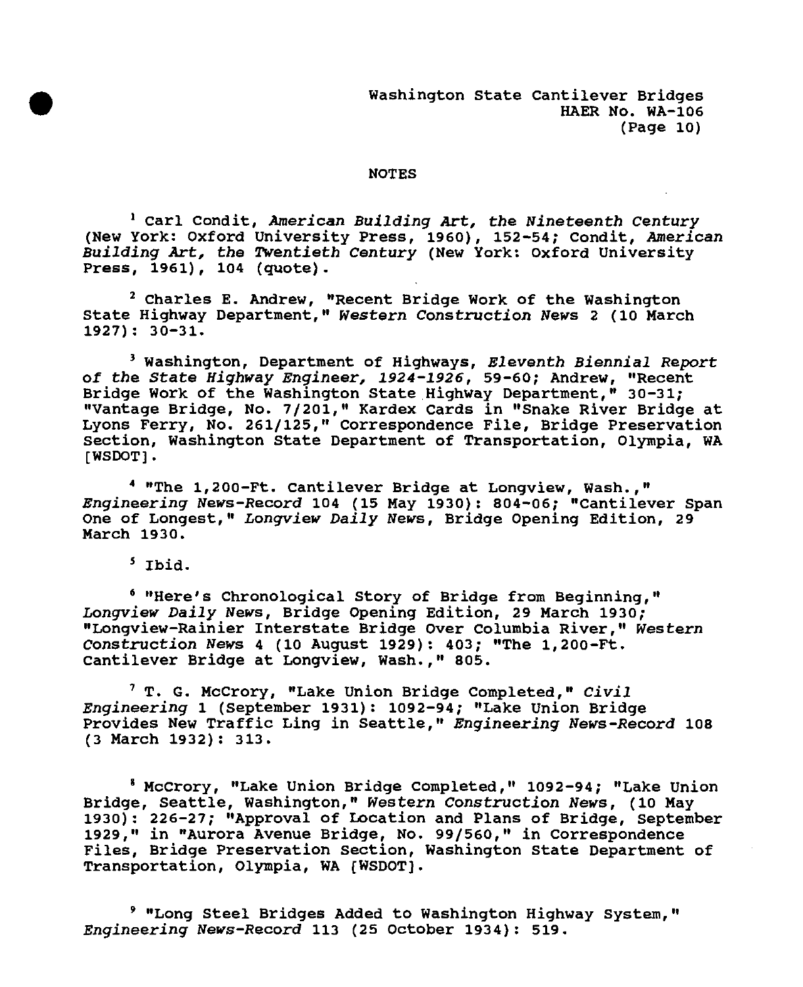Washington State Cantilever Bridges HAER No. WA-106 (Page 10)

#### NOTES

<sup>1</sup> Carl Condit, *American Building Art, the Nineteenth Century* (New York: Oxford University Press, 1960), 152-54; Condit, *American Building Art, the Twentieth Century* (New York: Oxford University Press, 1961), 104 (quote).

<sup>2</sup> Charles E. Andrew, "Recent Bridge Work of the Washington State Highway Department," *Western Construction News* <sup>2</sup> (10 March 1927): 30-31.

<sup>3</sup> Washington, Department of Highways, *Eleventh Biennial Report of the State Highway Engineer, 1924-1926,* 59-60; Andrew, "Recent Bridge Work of the Washington State Highway Department," 30-31; "Vantage Bridge, No. 7/201," Kardex Cards in "Snake River Bridge at Lyons Ferry, No. 261/125," Correspondence File, Bridge Preservation Section, Washington State Department of Transportation, Olympia, WA [WSDOT].

<sup>4</sup> "The 1,200-Ft. Cantilever Bridge at Longview, Wash.," Engineering News-Record 104 (15 May 1930): 804-06; "Cantilever Span One of Longest," *Longview Daily News,* Bridge Opening Edition, <sup>29</sup> March 1930.

<sup>5</sup> Ibid.

<sup>6</sup> "Here's Chronological Story of Bridge from Beginning," *Longview Daily News,* Bridge Opening Edition, <sup>29</sup> March 1930; "Longview-Rainier Interstate Bridge Over Columbia River," *Western Construction News* <sup>4</sup> (10 August 1929): 403; "The 1,200-Ft. Cantilever Bridge at Longview, Wash.," 805.

<sup>7</sup> T. G. McCrory, "Lake Union Bridge Completed," *Civil Engineering* <sup>1</sup> (September 1931): 1092-94; "Lake Union Bridge Provides New Traffic Ling in Seattle," *Engineering News-Record* <sup>108</sup> (3 March 1932): 313.

<sup>8</sup> McCrory, "Lake Union Bridge Completed," 1092-94; "Lake Union Bridge, Seattle, Washington," *Western Construction News,* (10 May 1930): 226-27; "Approval of Location and Plans of Bridge, September 1929," in "Aurora Avenue Bridge, No. 99/560," in Correspondence Files, Bridge Preservation Section, Washington State Department of Transportation, Olympia, WA [WSDOT].

<sup>9</sup> "Long Steel Bridges Added to Washington Highway System," Engineering *News-Record* 113 (25 October 1934): 519.